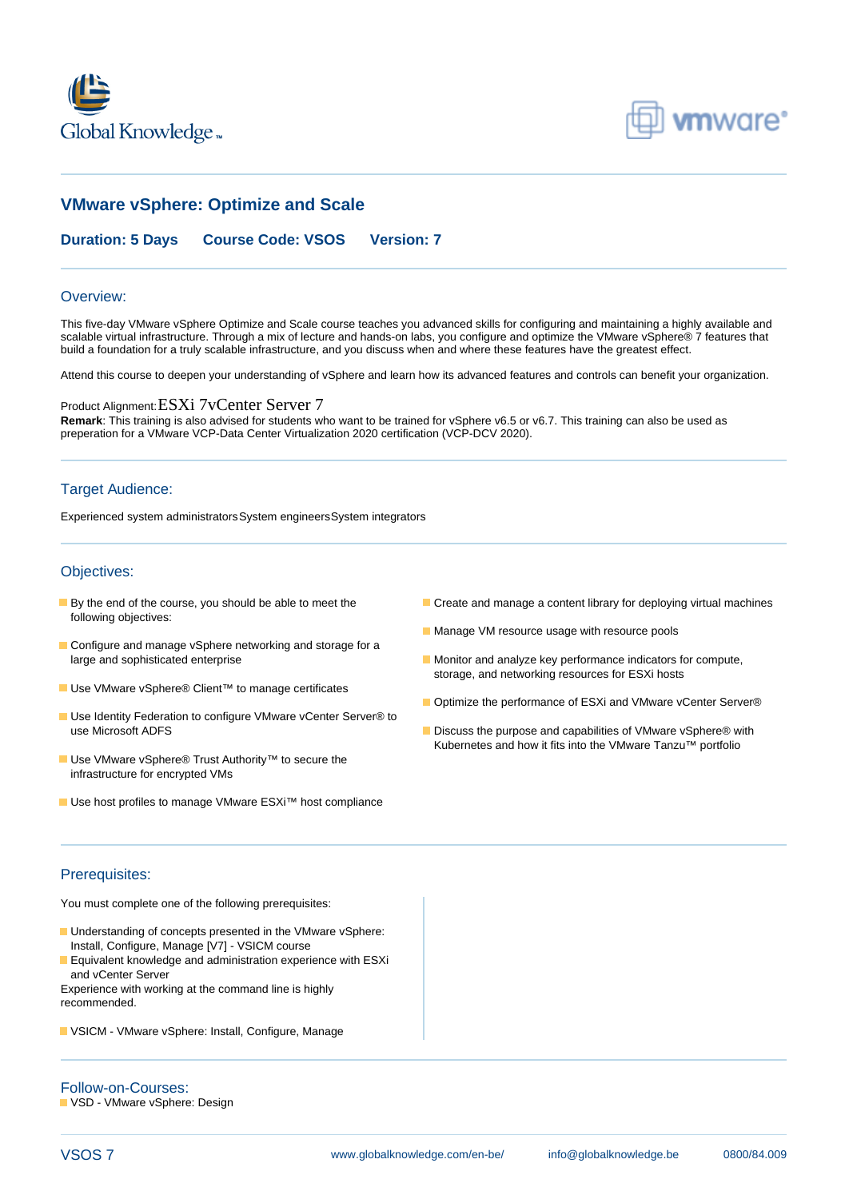



# **VMware vSphere: Optimize and Scale**

## **Duration: 5 Days Course Code: VSOS Version: 7**

#### Overview:

This five-day VMware vSphere Optimize and Scale course teaches you advanced skills for configuring and maintaining a highly available and scalable virtual infrastructure. Through a mix of lecture and hands-on labs, you configure and optimize the VMware vSphere® 7 features that build a foundation for a truly scalable infrastructure, and you discuss when and where these features have the greatest effect.

Attend this course to deepen your understanding of vSphere and learn how its advanced features and controls can benefit your organization.

#### Product Alignment:ESXi 7vCenter Server 7

**Remark**: This training is also advised for students who want to be trained for vSphere v6.5 or v6.7. This training can also be used as preperation for a VMware VCP-Data Center Virtualization 2020 certification (VCP-DCV 2020).

#### Target Audience:

Experienced system administratorsSystem engineersSystem integrators

#### Objectives:

- following objectives:
- Configure and manage vSphere networking and storage for a large and sophisticated enterprise Monitor and analyze key performance indicators for compute,
- Use VMware vSphere® Client<sup>™</sup> to manage certificates
- Use Identity Federation to configure VMware vCenter Server® to use Microsoft ADFS Discuss the purpose and capabilities of VMware vSphere® with
- Use VMware vSphere® Trust Authority<sup>™</sup> to secure the infrastructure for encrypted VMs
- Use host profiles to manage VMware ESXi<sup>™</sup> host compliance
- **By the end of the course, you should be able to meet the Create and manage a content library for deploying virtual machines** 
	- **Manage VM resource usage with resource pools**
	- storage, and networking resources for ESXi hosts
	- Optimize the performance of ESXi and VMware vCenter Server®
	- Kubernetes and how it fits into the VMware Tanzu™ portfolio

#### Prerequisites:

You must complete one of the following prerequisites:

- **Understanding of concepts presented in the VMware vSphere:** Install, Configure, Manage [V7] - VSICM course
- **E** Equivalent knowledge and administration experience with ESXi and vCenter Server

Experience with working at the command line is highly recommended.

**UI** VSICM - VMware vSphere: Install, Configure, Manage

Follow-on-Courses: VSD - VMware vSphere: Design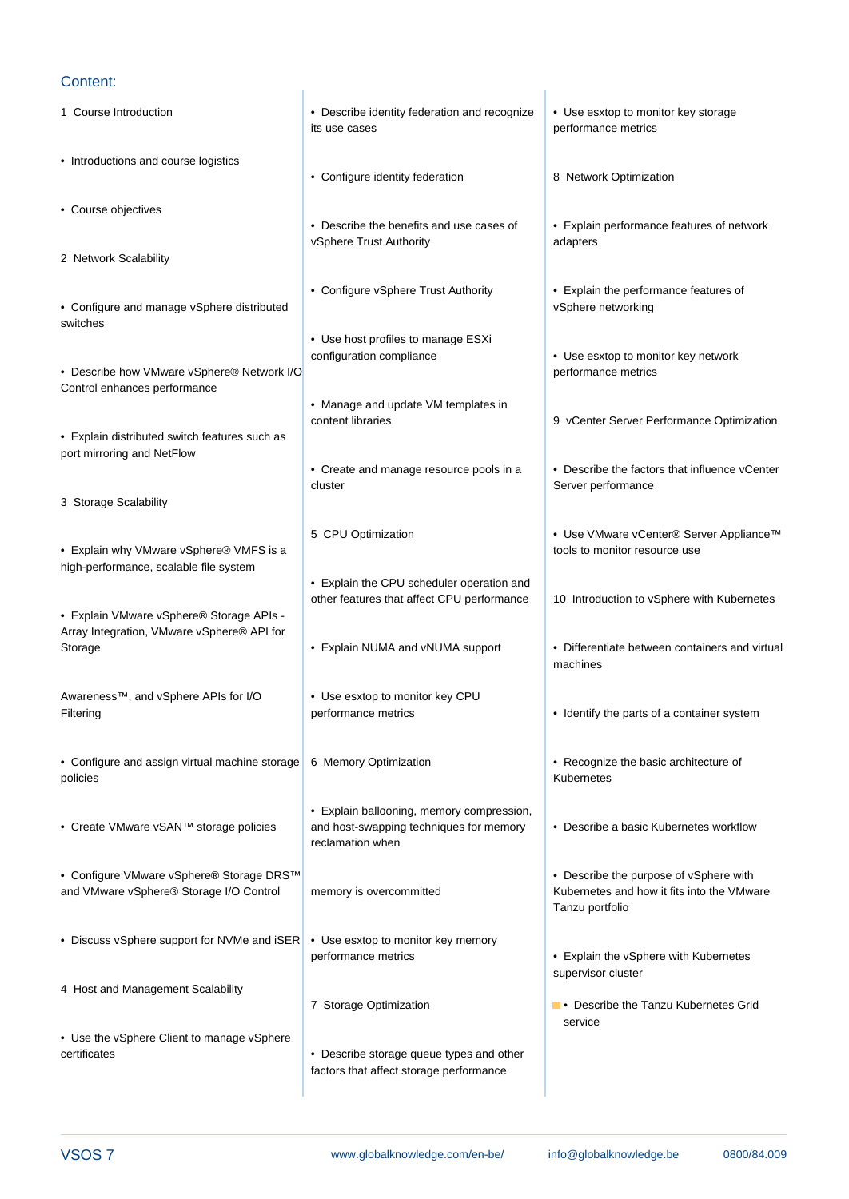### Content:

1 Course Introduction **• Describe identity federation and recognize** • Use esxtop to monitor key storage line its use cases performance metrics line line • Introductions and course logistics • Configure identity federation <br> 8 Network Optimization line line • Course objectives • Describe the benefits and use cases of • Explain performance features of network vSphere Trust Authority **adapters** 2 Network Scalability • Configure vSphere Trust Authority • Explain the performance features of • Configure and manage vSphere distributed line vs in the vSphere networking vSphere networking switches line in the state of the state of the state of the state of the state of the state of the state of the • Use host profiles to manage ESXi configuration compliance • Use esxtop to monitor key network • Describe how VMware vSphere® Network I/O line performance metrics and performance metrics Control enhances performance • Manage and update VM templates in content libraries 9 vCenter Server Performance Optimization • Explain distributed switch features such as port mirroring and NetFlow • Create and manage resource pools in a  $\|\cdot\|$  Describe the factors that influence vCenter cluster cluster  $\blacksquare$  Server performance 3 Storage Scalability 5 CPU Optimization • Use VMware vCenter® Server Appliance™ • Explain why VMware vSphere® VMFS is a line tools to monitor resource use high-performance, scalable file system • Explain the CPU scheduler operation and other features that affect CPU performance 10 Introduction to vSphere with Kubernetes • Explain VMware vSphere® Storage APIs -Array Integration, VMware vSphere® API for Storage **• Explain NUMA and vNUMA support** • Differentiate between containers and virtual line line line machines and the machines of the machines of the machines of the machines of the machines of the machines of the machines of the machines of the machines of the machines of the machines of the machines of th Awareness™, and vSphere APIs for I/O • Use esxtop to monitor key CPU Filtering **Example 2 performance metrics • Identify the parts of a container system** line line line • Configure and assign virtual machine storage 6 Memory Optimization • Recognize the basic architecture of policies line Kubernetes line Kubernetes line Kubernetes line Kubernetes line Kubernetes line Kubernetes line K line line • Explain ballooning, memory compression, • Create VMware vSAN™ storage policies and host-swapping techniques for memory • Describe a basic Kubernetes workflow reclamation when • Configure VMware vSphere® Storage DRS™ • Describe the purpose of vSphere with and VMware vSphere® Storage I/O Control memory is overcommitted Kubernetes and how it fits into the VMware Tanzu portfolio • Discuss vSphere support for NVMe and iSER • Use esxtop to monitor key memory performance metrics **• Explain the vSphere with Kubernetes** supervisor cluster 4 Host and Management Scalability 7 Storage Optimization **• Production Fig.** Describe the Tanzu Kubernetes Grid line service in the service service • Use the vSphere Client to manage vSphere **example 3 • Describe storage queue types and other •** Describe storage queue types and other factors that affect storage performance